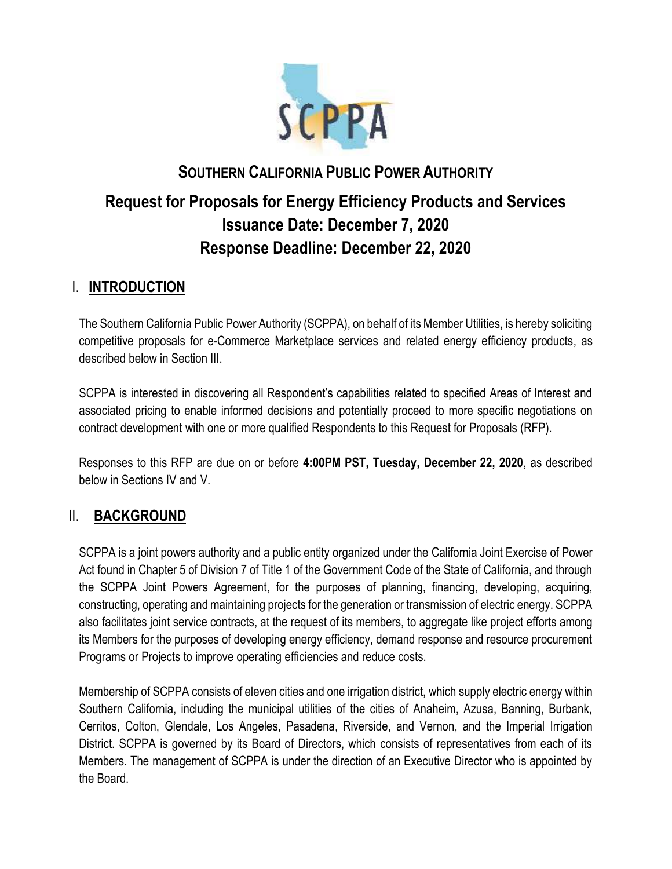

# **SOUTHERN CALIFORNIA PUBLIC POWER AUTHORITY Request for Proposals for Energy Efficiency Products and Services Issuance Date: December 7, 2020 Response Deadline: December 22, 2020**

### I. **INTRODUCTION**

The Southern California Public Power Authority (SCPPA), on behalf of its Member Utilities, is hereby soliciting competitive proposals for e-Commerce Marketplace services and related energy efficiency products, as described below in Section III.

SCPPA is interested in discovering all Respondent's capabilities related to specified Areas of Interest and associated pricing to enable informed decisions and potentially proceed to more specific negotiations on contract development with one or more qualified Respondents to this Request for Proposals (RFP).

Responses to this RFP are due on or before **4:00PM PST, Tuesday, December 22, 2020**, as described below in Sections IV and V.

### II. **BACKGROUND**

SCPPA is a joint powers authority and a public entity organized under the California Joint Exercise of Power Act found in Chapter 5 of Division 7 of Title 1 of the Government Code of the State of California, and through the SCPPA Joint Powers Agreement, for the purposes of planning, financing, developing, acquiring, constructing, operating and maintaining projects for the generation or transmission of electric energy. SCPPA also facilitates joint service contracts, at the request of its members, to aggregate like project efforts among its Members for the purposes of developing energy efficiency, demand response and resource procurement Programs or Projects to improve operating efficiencies and reduce costs.

Membership of SCPPA consists of eleven cities and one irrigation district, which supply electric energy within Southern California, including the municipal utilities of the cities of Anaheim, Azusa, Banning, Burbank, Cerritos, Colton, Glendale, Los Angeles, Pasadena, Riverside, and Vernon, and the Imperial Irrigation District. SCPPA is governed by its Board of Directors, which consists of representatives from each of its Members. The management of SCPPA is under the direction of an Executive Director who is appointed by the Board.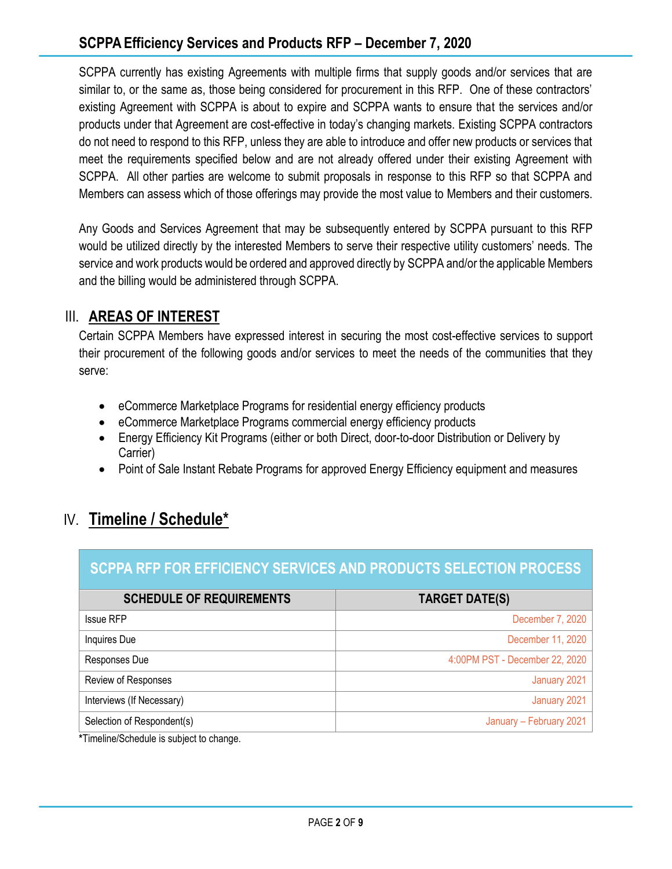SCPPA currently has existing Agreements with multiple firms that supply goods and/or services that are similar to, or the same as, those being considered for procurement in this RFP. One of these contractors' existing Agreement with SCPPA is about to expire and SCPPA wants to ensure that the services and/or products under that Agreement are cost-effective in today's changing markets. Existing SCPPA contractors do not need to respond to this RFP, unless they are able to introduce and offer new products or services that meet the requirements specified below and are not already offered under their existing Agreement with SCPPA. All other parties are welcome to submit proposals in response to this RFP so that SCPPA and Members can assess which of those offerings may provide the most value to Members and their customers.

Any Goods and Services Agreement that may be subsequently entered by SCPPA pursuant to this RFP would be utilized directly by the interested Members to serve their respective utility customers' needs. The service and work products would be ordered and approved directly by SCPPA and/or the applicable Members and the billing would be administered through SCPPA.

### III. **AREAS OF INTEREST**

Certain SCPPA Members have expressed interest in securing the most cost-effective services to support their procurement of the following goods and/or services to meet the needs of the communities that they serve:

- eCommerce Marketplace Programs for residential energy efficiency products
- eCommerce Marketplace Programs commercial energy efficiency products
- Energy Efficiency Kit Programs (either or both Direct, door-to-door Distribution or Delivery by Carrier)
- Point of Sale Instant Rebate Programs for approved Energy Efficiency equipment and measures

## IV. **Timeline / Schedule\***

### **SCPPA RFP FOR EFFICIENCY SERVICES AND PRODUCTS SELECTION PROCESS**

| <b>SCHEDULE OF REQUIREMENTS</b> | <b>TARGET DATE(S)</b>          |
|---------------------------------|--------------------------------|
| <b>Issue RFP</b>                | December 7, 2020               |
| Inquires Due                    | December 11, 2020              |
| Responses Due                   | 4:00PM PST - December 22, 2020 |
| Review of Responses             | January 2021                   |
| Interviews (If Necessary)       | January 2021                   |
| Selection of Respondent(s)      | January - February 2021        |

**\***Timeline/Schedule is subject to change.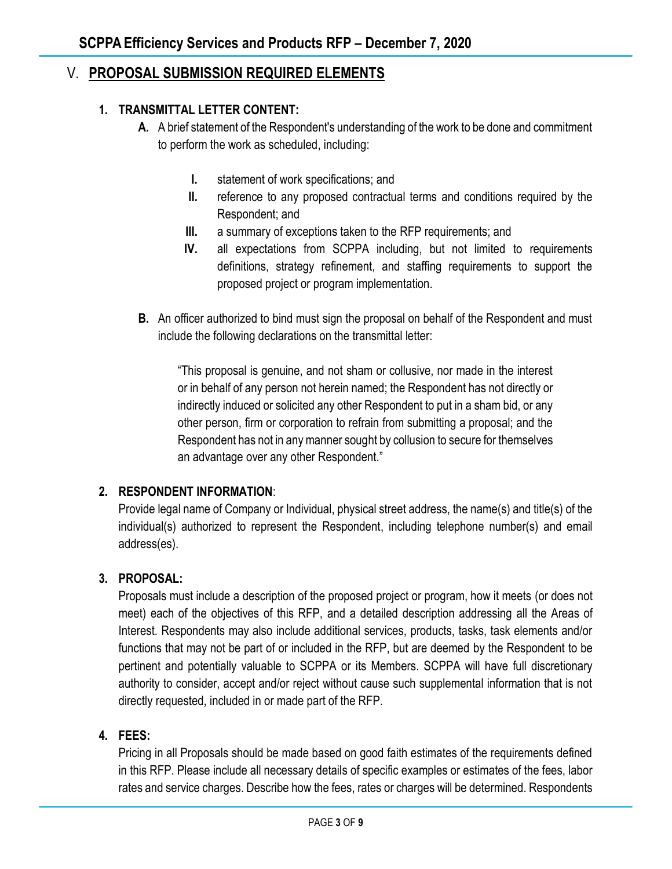### V. **PROPOSAL SUBMISSION REQUIRED ELEMENTS**

### **1. TRANSMITTAL LETTER CONTENT:**

- **A.** A brief statement of the Respondent's understanding of the work to be done and commitment to perform the work as scheduled, including:
	- **I.** statement of work specifications; and
	- **II.** reference to any proposed contractual terms and conditions required by the Respondent; and
	- **III.** a summary of exceptions taken to the RFP requirements; and
	- **IV.** all expectations from SCPPA including, but not limited to requirements definitions, strategy refinement, and staffing requirements to support the proposed project or program implementation.
- **B.** An officer authorized to bind must sign the proposal on behalf of the Respondent and must include the following declarations on the transmittal letter:

"This proposal is genuine, and not sham or collusive, nor made in the interest or in behalf of any person not herein named; the Respondent has not directly or indirectly induced or solicited any other Respondent to put in a sham bid, or any other person, firm or corporation to refrain from submitting a proposal; and the Respondent has not in any manner sought by collusion to secure for themselves an advantage over any other Respondent."

### **2. RESPONDENT INFORMATION**:

Provide legal name of Company or Individual, physical street address, the name(s) and title(s) of the individual(s) authorized to represent the Respondent, including telephone number(s) and email address(es).

### **3. PROPOSAL:**

Proposals must include a description of the proposed project or program, how it meets (or does not meet) each of the objectives of this RFP, and a detailed description addressing all the Areas of Interest. Respondents may also include additional services, products, tasks, task elements and/or functions that may not be part of or included in the RFP, but are deemed by the Respondent to be pertinent and potentially valuable to SCPPA or its Members. SCPPA will have full discretionary authority to consider, accept and/or reject without cause such supplemental information that is not directly requested, included in or made part of the RFP.

### **4. FEES:**

Pricing in all Proposals should be made based on good faith estimates of the requirements defined in this RFP. Please include all necessary details of specific examples or estimates of the fees, labor rates and service charges. Describe how the fees, rates or charges will be determined. Respondents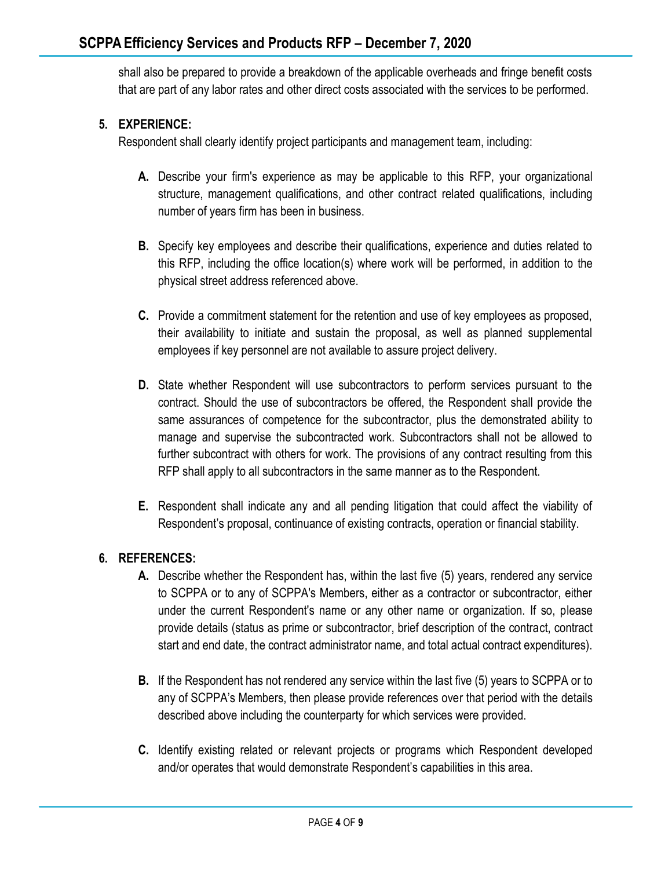shall also be prepared to provide a breakdown of the applicable overheads and fringe benefit costs that are part of any labor rates and other direct costs associated with the services to be performed.

### **5. EXPERIENCE:**

Respondent shall clearly identify project participants and management team, including:

- **A.** Describe your firm's experience as may be applicable to this RFP, your organizational structure, management qualifications, and other contract related qualifications, including number of years firm has been in business.
- **B.** Specify key employees and describe their qualifications, experience and duties related to this RFP, including the office location(s) where work will be performed, in addition to the physical street address referenced above.
- **C.** Provide a commitment statement for the retention and use of key employees as proposed, their availability to initiate and sustain the proposal, as well as planned supplemental employees if key personnel are not available to assure project delivery.
- **D.** State whether Respondent will use subcontractors to perform services pursuant to the contract. Should the use of subcontractors be offered, the Respondent shall provide the same assurances of competence for the subcontractor, plus the demonstrated ability to manage and supervise the subcontracted work. Subcontractors shall not be allowed to further subcontract with others for work. The provisions of any contract resulting from this RFP shall apply to all subcontractors in the same manner as to the Respondent.
- **E.** Respondent shall indicate any and all pending litigation that could affect the viability of Respondent's proposal, continuance of existing contracts, operation or financial stability.

### **6. REFERENCES:**

- **A.** Describe whether the Respondent has, within the last five (5) years, rendered any service to SCPPA or to any of SCPPA's Members, either as a contractor or subcontractor, either under the current Respondent's name or any other name or organization. If so, please provide details (status as prime or subcontractor, brief description of the contract, contract start and end date, the contract administrator name, and total actual contract expenditures).
- **B.** If the Respondent has not rendered any service within the last five (5) years to SCPPA or to any of SCPPA's Members, then please provide references over that period with the details described above including the counterparty for which services were provided.
- **C.** Identify existing related or relevant projects or programs which Respondent developed and/or operates that would demonstrate Respondent's capabilities in this area.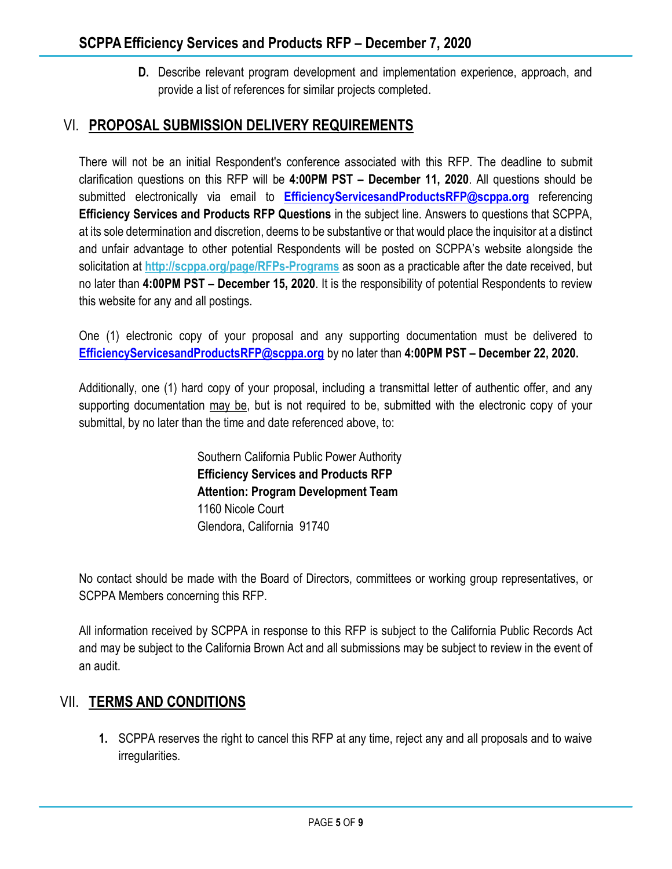**D.** Describe relevant program development and implementation experience, approach, and provide a list of references for similar projects completed.

### VI. **PROPOSAL SUBMISSION DELIVERY REQUIREMENTS**

There will not be an initial Respondent's conference associated with this RFP. The deadline to submit clarification questions on this RFP will be **4:00PM PST – December 11, 2020**. All questions should be submitted electronically via email to **[EfficiencyServicesandProductsRFP@scppa.org](mailto:EfficiencyServicesandProductsRFP@scppa.org)** referencing **Efficiency Services and Products RFP Questions** in the subject line. Answers to questions that SCPPA, at its sole determination and discretion, deems to be substantive or that would place the inquisitor at a distinct and unfair advantage to other potential Respondents will be posted on SCPPA's website alongside the solicitation at **<http://scppa.org/page/RFPs-Programs>** as soon as a practicable after the date received, but no later than **4:00PM PST – December 15, 2020**. It is the responsibility of potential Respondents to review this website for any and all postings.

One (1) electronic copy of your proposal and any supporting documentation must be delivered to **[EfficiencyServicesandProductsRFP@scppa.org](mailto:EfficiencyServicesandProductsRFP@scppa.org)** by no later than **4:00PM PST – December 22, 2020.**

Additionally, one (1) hard copy of your proposal, including a transmittal letter of authentic offer, and any supporting documentation may be, but is not required to be, submitted with the electronic copy of your submittal, by no later than the time and date referenced above, to:

> Southern California Public Power Authority **Efficiency Services and Products RFP Attention: Program Development Team** 1160 Nicole Court Glendora, California 91740

No contact should be made with the Board of Directors, committees or working group representatives, or SCPPA Members concerning this RFP.

All information received by SCPPA in response to this RFP is subject to the California Public Records Act and may be subject to the California Brown Act and all submissions may be subject to review in the event of an audit.

### VII. **TERMS AND CONDITIONS**

**1.** SCPPA reserves the right to cancel this RFP at any time, reject any and all proposals and to waive irregularities.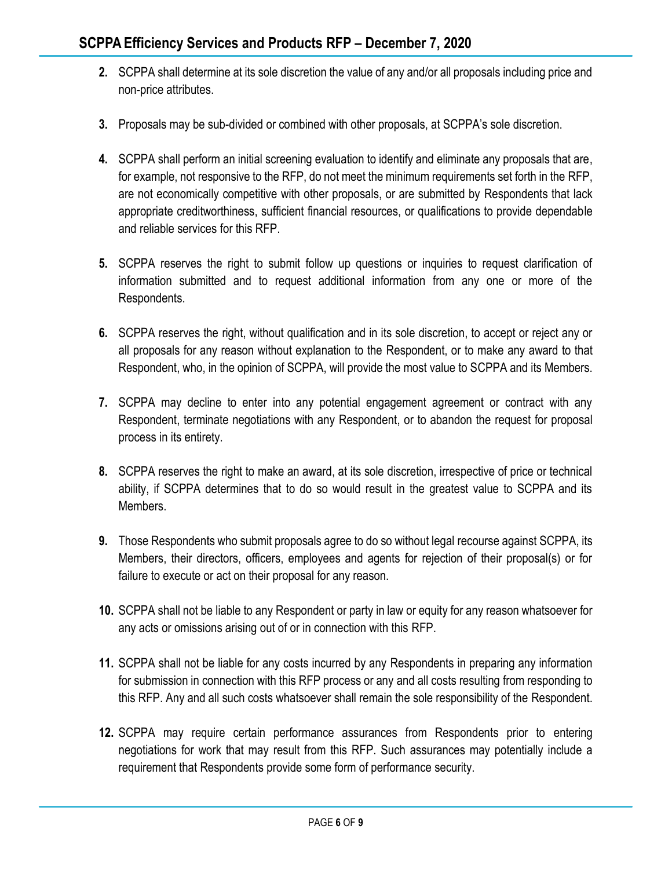- **2.** SCPPA shall determine at its sole discretion the value of any and/or all proposals including price and non-price attributes.
- **3.** Proposals may be sub-divided or combined with other proposals, at SCPPA's sole discretion.
- **4.** SCPPA shall perform an initial screening evaluation to identify and eliminate any proposals that are, for example, not responsive to the RFP, do not meet the minimum requirements set forth in the RFP, are not economically competitive with other proposals, or are submitted by Respondents that lack appropriate creditworthiness, sufficient financial resources, or qualifications to provide dependable and reliable services for this RFP.
- **5.** SCPPA reserves the right to submit follow up questions or inquiries to request clarification of information submitted and to request additional information from any one or more of the Respondents.
- **6.** SCPPA reserves the right, without qualification and in its sole discretion, to accept or reject any or all proposals for any reason without explanation to the Respondent, or to make any award to that Respondent, who, in the opinion of SCPPA, will provide the most value to SCPPA and its Members.
- **7.** SCPPA may decline to enter into any potential engagement agreement or contract with any Respondent, terminate negotiations with any Respondent, or to abandon the request for proposal process in its entirety.
- **8.** SCPPA reserves the right to make an award, at its sole discretion, irrespective of price or technical ability, if SCPPA determines that to do so would result in the greatest value to SCPPA and its Members.
- **9.** Those Respondents who submit proposals agree to do so without legal recourse against SCPPA, its Members, their directors, officers, employees and agents for rejection of their proposal(s) or for failure to execute or act on their proposal for any reason.
- **10.** SCPPA shall not be liable to any Respondent or party in law or equity for any reason whatsoever for any acts or omissions arising out of or in connection with this RFP.
- **11.** SCPPA shall not be liable for any costs incurred by any Respondents in preparing any information for submission in connection with this RFP process or any and all costs resulting from responding to this RFP. Any and all such costs whatsoever shall remain the sole responsibility of the Respondent.
- **12.** SCPPA may require certain performance assurances from Respondents prior to entering negotiations for work that may result from this RFP. Such assurances may potentially include a requirement that Respondents provide some form of performance security.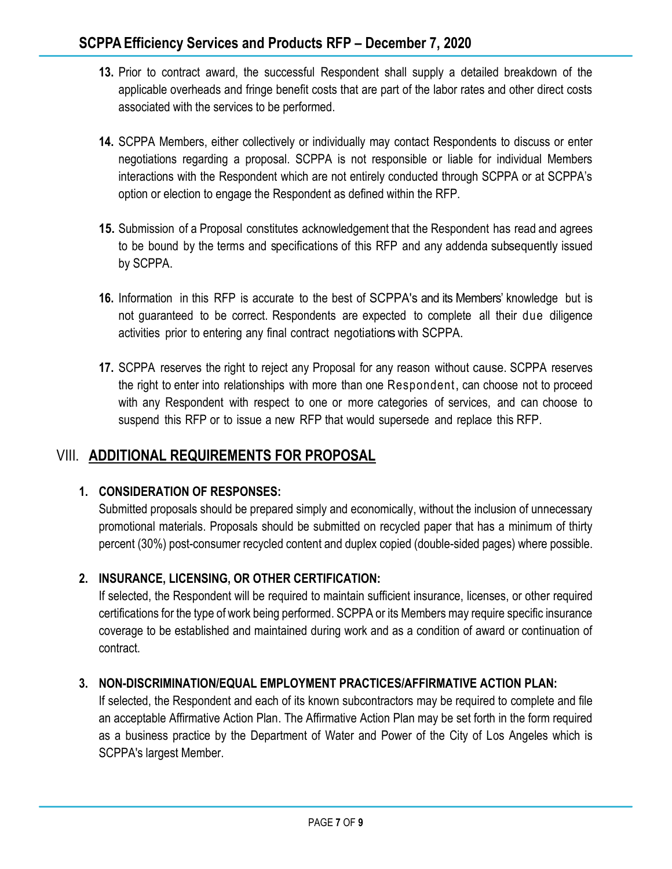- **13.** Prior to contract award, the successful Respondent shall supply a detailed breakdown of the applicable overheads and fringe benefit costs that are part of the labor rates and other direct costs associated with the services to be performed.
- **14.** SCPPA Members, either collectively or individually may contact Respondents to discuss or enter negotiations regarding a proposal. SCPPA is not responsible or liable for individual Members interactions with the Respondent which are not entirely conducted through SCPPA or at SCPPA's option or election to engage the Respondent as defined within the RFP.
- **15.** Submission of a Proposal constitutes acknowledgement that the Respondent has read and agrees to be bound by the terms and specifications of this RFP and any addenda subsequently issued by SCPPA.
- **16.** Information in this RFP is accurate to the best of SCPPA's and its Members' knowledge but is not guaranteed to be correct. Respondents are expected to complete all their due diligence activities prior to entering any final contract negotiations with SCPPA.
- **17.** SCPPA reserves the right to reject any Proposal for any reason without cause. SCPPA reserves the right to enter into relationships with more than one Respondent, can choose not to proceed with any Respondent with respect to one or more categories of services, and can choose to suspend this RFP or to issue a new RFP that would supersede and replace this RFP.

### VIII. **ADDITIONAL REQUIREMENTS FOR PROPOSAL**

### **1. CONSIDERATION OF RESPONSES:**

Submitted proposals should be prepared simply and economically, without the inclusion of unnecessary promotional materials. Proposals should be submitted on recycled paper that has a minimum of thirty percent (30%) post-consumer recycled content and duplex copied (double-sided pages) where possible.

### **2. INSURANCE, LICENSING, OR OTHER CERTIFICATION:**

If selected, the Respondent will be required to maintain sufficient insurance, licenses, or other required certifications for the type of work being performed. SCPPA or its Members may require specific insurance coverage to be established and maintained during work and as a condition of award or continuation of contract.

### **3. NON-DISCRIMINATION/EQUAL EMPLOYMENT PRACTICES/AFFIRMATIVE ACTION PLAN:**

If selected, the Respondent and each of its known subcontractors may be required to complete and file an acceptable Affirmative Action Plan. The Affirmative Action Plan may be set forth in the form required as a business practice by the Department of Water and Power of the City of Los Angeles which is SCPPA's largest Member.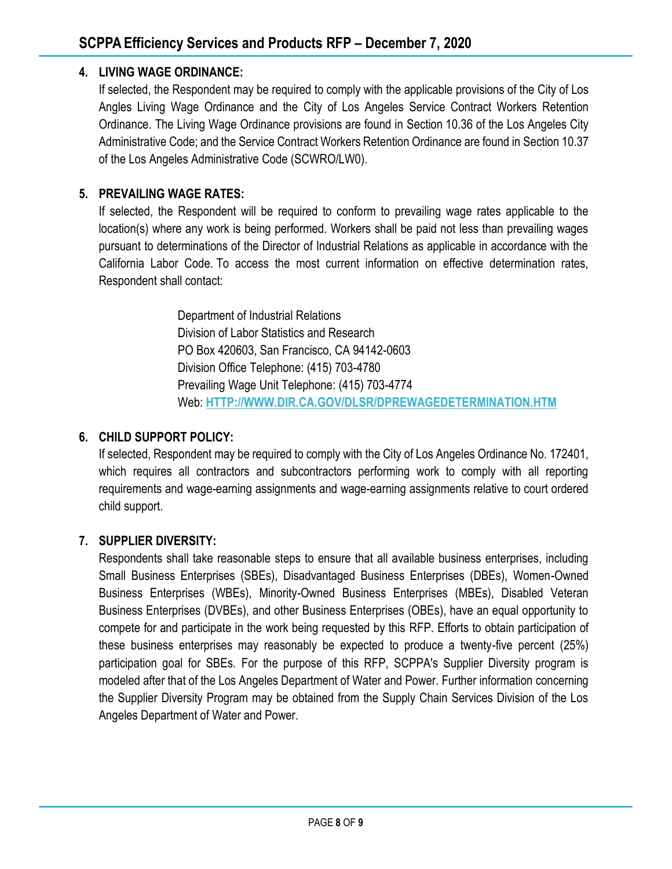#### **4. LIVING WAGE ORDINANCE:**

If selected, the Respondent may be required to comply with the applicable provisions of the City of Los Angles Living Wage Ordinance and the City of Los Angeles Service Contract Workers Retention Ordinance. The Living Wage Ordinance provisions are found in Section 10.36 of the Los Angeles City Administrative Code; and the Service Contract Workers Retention Ordinance are found in Section 10.37 of the Los Angeles Administrative Code (SCWRO/LW0).

#### **5. PREVAILING WAGE RATES:**

If selected, the Respondent will be required to conform to prevailing wage rates applicable to the location(s) where any work is being performed. Workers shall be paid not less than prevailing wages pursuant to determinations of the Director of Industrial Relations as applicable in accordance with the California Labor Code. To access the most current information on effective determination rates, Respondent shall contact:

> Department of Industrial Relations Division of Labor Statistics and Research PO Box 420603, San Francisco, CA 94142-0603 Division Office Telephone: (415) 703-4780 Prevailing Wage Unit Telephone: (415) 703-4774 Web: **[HTTP://WWW.DIR.CA.GOV/DLSR/DPREWAGEDETERMINATION.HTM](http://www.dir.ca.gov/dlsr/DPreWageDetermination.htm)**

#### **6. CHILD SUPPORT POLICY:**

If selected, Respondent may be required to comply with the City of Los Angeles Ordinance No. 172401, which requires all contractors and subcontractors performing work to comply with all reporting requirements and wage-earning assignments and wage-earning assignments relative to court ordered child support.

#### **7. SUPPLIER DIVERSITY:**

Respondents shall take reasonable steps to ensure that all available business enterprises, including Small Business Enterprises (SBEs), Disadvantaged Business Enterprises (DBEs), Women-Owned Business Enterprises (WBEs), Minority-Owned Business Enterprises (MBEs), Disabled Veteran Business Enterprises (DVBEs), and other Business Enterprises (OBEs), have an equal opportunity to compete for and participate in the work being requested by this RFP. Efforts to obtain participation of these business enterprises may reasonably be expected to produce a twenty-five percent (25%) participation goal for SBEs. For the purpose of this RFP, SCPPA's Supplier Diversity program is modeled after that of the Los Angeles Department of Water and Power. Further information concerning the Supplier Diversity Program may be obtained from the Supply Chain Services Division of the Los Angeles Department of Water and Power.